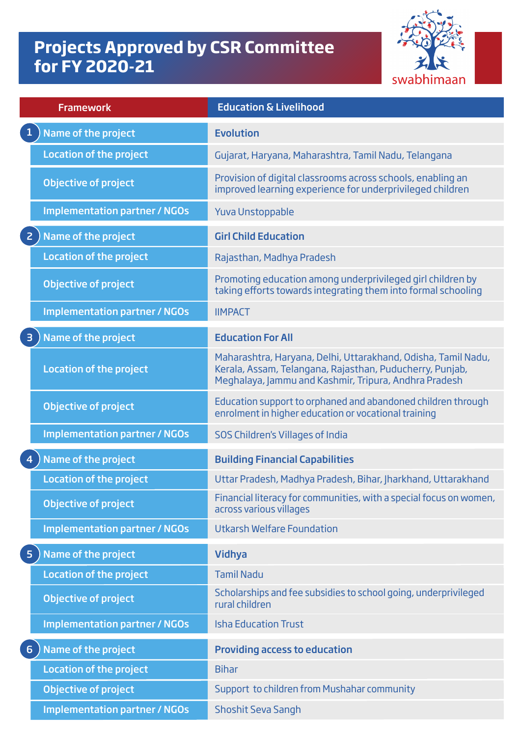## **Projects Approved by CSR Committee for FY 2020-21**



| <b>Framework</b>                               | <b>Education &amp; Livelihood</b>                                                                                                                                                  |
|------------------------------------------------|------------------------------------------------------------------------------------------------------------------------------------------------------------------------------------|
| $\mathbf{1}$<br>Name of the project            | <b>Evolution</b>                                                                                                                                                                   |
| <b>Location of the project</b>                 | Gujarat, Haryana, Maharashtra, Tamil Nadu, Telangana                                                                                                                               |
| <b>Objective of project</b>                    | Provision of digital classrooms across schools, enabling an<br>improved learning experience for underprivileged children                                                           |
| <b>Implementation partner / NGOs</b>           | <b>Yuva Unstoppable</b>                                                                                                                                                            |
| Name of the project<br>$\overline{2}$          | <b>Girl Child Education</b>                                                                                                                                                        |
| <b>Location of the project</b>                 | Rajasthan, Madhya Pradesh                                                                                                                                                          |
| <b>Objective of project</b>                    | Promoting education among underprivileged girl children by<br>taking efforts towards integrating them into formal schooling                                                        |
| <b>Implementation partner / NGOs</b>           | <b>IIMPACT</b>                                                                                                                                                                     |
| Name of the project<br>$\overline{\mathbf{3}}$ | <b>Education For All</b>                                                                                                                                                           |
| <b>Location of the project</b>                 | Maharashtra, Haryana, Delhi, Uttarakhand, Odisha, Tamil Nadu,<br>Kerala, Assam, Telangana, Rajasthan, Puducherry, Punjab,<br>Meghalaya, Jammu and Kashmir, Tripura, Andhra Pradesh |
| <b>Objective of project</b>                    | Education support to orphaned and abandoned children through<br>enrolment in higher education or vocational training                                                               |
| <b>Implementation partner / NGOs</b>           | SOS Children's Villages of India                                                                                                                                                   |
| Name of the project<br>$\overline{4}$          | <b>Building Financial Capabilities</b>                                                                                                                                             |
| <b>Location of the project</b>                 | Uttar Pradesh, Madhya Pradesh, Bihar, Jharkhand, Uttarakhand                                                                                                                       |
| <b>Objective of project</b>                    | Financial literacy for communities, with a special focus on women,<br>across various villages                                                                                      |
| <b>Implementation partner / NGOs</b>           | <b>Utkarsh Welfare Foundation</b>                                                                                                                                                  |
| Name of the project<br>5 <sub>5</sub>          | <b>Vidhya</b>                                                                                                                                                                      |
| <b>Location of the project</b>                 | <b>Tamil Nadu</b>                                                                                                                                                                  |
| <b>Objective of project</b>                    | Scholarships and fee subsidies to school going, underprivileged<br>rural children                                                                                                  |
| <b>Implementation partner / NGOs</b>           | <b>Isha Education Trust</b>                                                                                                                                                        |
| Name of the project<br>6                       | <b>Providing access to education</b>                                                                                                                                               |
| <b>Location of the project</b>                 | <b>Bihar</b>                                                                                                                                                                       |
| <b>Objective of project</b>                    | Support to children from Mushahar community                                                                                                                                        |
| <b>Implementation partner / NGOs</b>           | <b>Shoshit Seva Sangh</b>                                                                                                                                                          |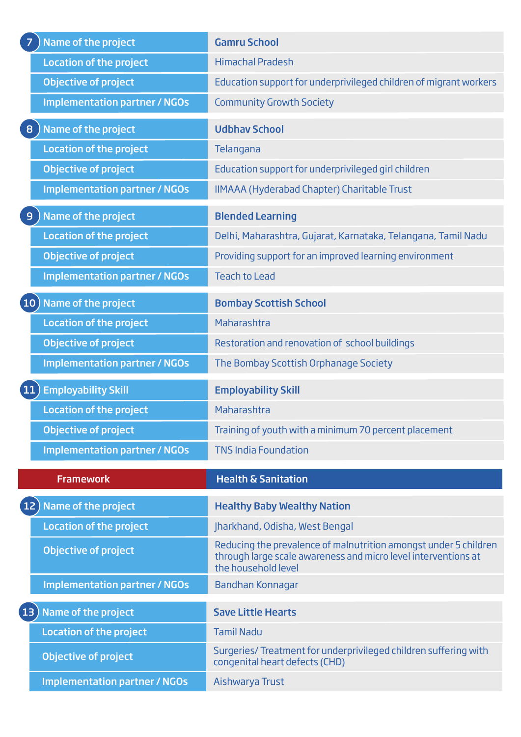| <b>Himachal Pradesh</b>                                                                                                                                   |
|-----------------------------------------------------------------------------------------------------------------------------------------------------------|
| Education support for underprivileged children of migrant workers                                                                                         |
| <b>Community Growth Society</b>                                                                                                                           |
| <b>Udbhav School</b>                                                                                                                                      |
| Telangana                                                                                                                                                 |
| Education support for underprivileged girl children                                                                                                       |
| IIMAAA (Hyderabad Chapter) Charitable Trust                                                                                                               |
| <b>Blended Learning</b>                                                                                                                                   |
| Delhi, Maharashtra, Gujarat, Karnataka, Telangana, Tamil Nadu                                                                                             |
| Providing support for an improved learning environment                                                                                                    |
| <b>Teach to Lead</b>                                                                                                                                      |
| <b>Bombay Scottish School</b>                                                                                                                             |
| Maharashtra                                                                                                                                               |
| Restoration and renovation of school buildings                                                                                                            |
|                                                                                                                                                           |
| The Bombay Scottish Orphanage Society                                                                                                                     |
| <b>Employability Skill</b>                                                                                                                                |
| Maharashtra                                                                                                                                               |
| Training of youth with a minimum 70 percent placement                                                                                                     |
| <b>TNS India Foundation</b>                                                                                                                               |
| <b>Health &amp; Sanitation</b>                                                                                                                            |
| <b>Healthy Baby Wealthy Nation</b>                                                                                                                        |
| Jharkhand, Odisha, West Bengal                                                                                                                            |
| Reducing the prevalence of malnutrition amongst under 5 children<br>through large scale awareness and micro level interventions at<br>the household level |
| Bandhan Konnagar                                                                                                                                          |
| <b>Save Little Hearts</b>                                                                                                                                 |
| <b>Tamil Nadu</b>                                                                                                                                         |
| Surgeries/ Treatment for underprivileged children suffering with<br>congenital heart defects (CHD)                                                        |
|                                                                                                                                                           |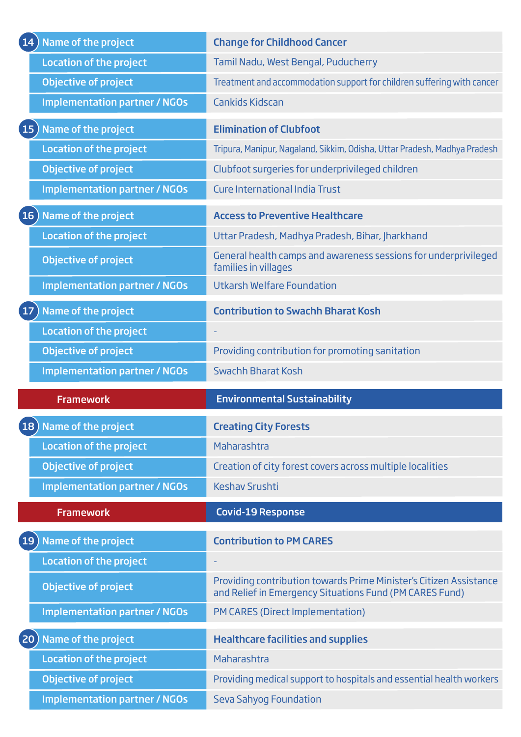| 14) Name of the project                | <b>Change for Childhood Cancer</b>                                                                                            |
|----------------------------------------|-------------------------------------------------------------------------------------------------------------------------------|
| <b>Location of the project</b>         | Tamil Nadu, West Bengal, Puducherry                                                                                           |
| <b>Objective of project</b>            | Treatment and accommodation support for children suffering with cancer                                                        |
| <b>Implementation partner / NGOs</b>   | <b>Cankids Kidscan</b>                                                                                                        |
| Name of the project<br>15)             | <b>Elimination of Clubfoot</b>                                                                                                |
| <b>Location of the project</b>         | Tripura, Manipur, Nagaland, Sikkim, Odisha, Uttar Pradesh, Madhya Pradesh                                                     |
| Objective of project                   | Clubfoot surgeries for underprivileged children                                                                               |
| <b>Implementation partner / NGOs</b>   | <b>Cure International India Trust</b>                                                                                         |
| $(16)$ Name of the project             | <b>Access to Preventive Healthcare</b>                                                                                        |
| <b>Location of the project</b>         | Uttar Pradesh, Madhya Pradesh, Bihar, Jharkhand                                                                               |
| <b>Objective of project</b>            | General health camps and awareness sessions for underprivileged<br>families in villages                                       |
| <b>Implementation partner / NGOs</b>   | <b>Utkarsh Welfare Foundation</b>                                                                                             |
| Name of the project<br>17 <sup>2</sup> | <b>Contribution to Swachh Bharat Kosh</b>                                                                                     |
| <b>Location of the project</b>         |                                                                                                                               |
| <b>Objective of project</b>            | Providing contribution for promoting sanitation                                                                               |
| <b>Implementation partner / NGOs</b>   | <b>Swachh Bharat Kosh</b>                                                                                                     |
|                                        |                                                                                                                               |
| <b>Framework</b>                       | <b>Environmental Sustainability</b>                                                                                           |
| 18) Name of the project                | <b>Creating City Forests</b>                                                                                                  |
| <b>Location of the project</b>         | Maharashtra                                                                                                                   |
| <b>Objective of project</b>            | Creation of city forest covers across multiple localities                                                                     |
| <b>Implementation partner / NGOs</b>   | <b>Keshav Srushti</b>                                                                                                         |
| <b>Framework</b>                       | <b>Covid-19 Response</b>                                                                                                      |
| 19) Name of the project                | <b>Contribution to PM CARES</b>                                                                                               |
| <b>Location of the project</b>         |                                                                                                                               |
| <b>Objective of project</b>            | Providing contribution towards Prime Minister's Citizen Assistance<br>and Relief in Emergency Situations Fund (PM CARES Fund) |
| <b>Implementation partner / NGOs</b>   | PM CARES (Direct Implementation)                                                                                              |
| Name of the project<br>$ 20\rangle$    | <b>Healthcare facilities and supplies</b>                                                                                     |
| <b>Location of the project</b>         | Maharashtra                                                                                                                   |
| <b>Objective of project</b>            | Providing medical support to hospitals and essential health workers                                                           |